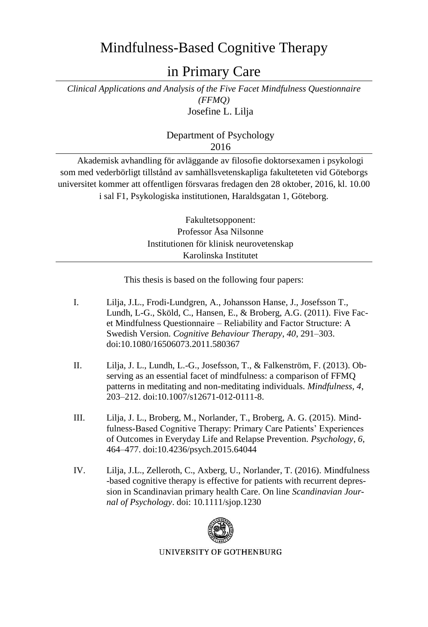## Mindfulness-Based Cognitive Therapy

in Primary Care

*Clinical Applications and Analysis of the Five Facet Mindfulness Questionnaire (FFMQ)* Josefine L. Lilja

> Department of Psychology 2016

Akademisk avhandling för avläggande av filosofie doktorsexamen i psykologi som med vederbörligt tillstånd av samhällsvetenskapliga fakulteteten vid Göteborgs universitet kommer att offentligen försvaras fredagen den 28 oktober, 2016, kl. 10.00 i sal F1, Psykologiska institutionen, Haraldsgatan 1, Göteborg.

> Fakultetsopponent: Professor Åsa Nilsonne Institutionen för klinisk neurovetenskap Karolinska Institutet

This thesis is based on the following four papers:

- I. Lilja, J.L., Frodi-Lundgren, A., Johansson Hanse, J., Josefsson T., Lundh, L-G., Sköld, C., Hansen, E., & Broberg, A.G. (2011). Five Facet Mindfulness Questionnaire – Reliability and Factor Structure: A Swedish Version. *Cognitive Behaviour Therapy*, *40*, 291–303. doi:10.1080/16506073.2011.580367
- II. Lilja, J. L., Lundh, L.-G., Josefsson, T., & Falkenström, F. (2013). Observing as an essential facet of mindfulness: a comparison of FFMQ patterns in meditating and non-meditating individuals. *Mindfulness, 4*, 203–212. doi:10.1007/s12671-012-0111-8.
- III. Lilja, J. L., Broberg, M., Norlander, T., Broberg, A. G. (2015). Mindfulness-Based Cognitive Therapy: Primary Care Patients' Experiences of Outcomes in Everyday Life and Relapse Prevention. *Psychology*, *6*, 464–477. doi:10.4236/psych.2015.64044
- IV. Lilja, J.L., Zelleroth, C., Axberg, U., Norlander, T. (2016). Mindfulness -based cognitive therapy is effective for patients with recurrent depression in Scandinavian primary health Care. On line *Scandinavian Journal of Psychology*. doi: 10.1111/sjop.1230



UNIVERSITY OF GOTHENBURG